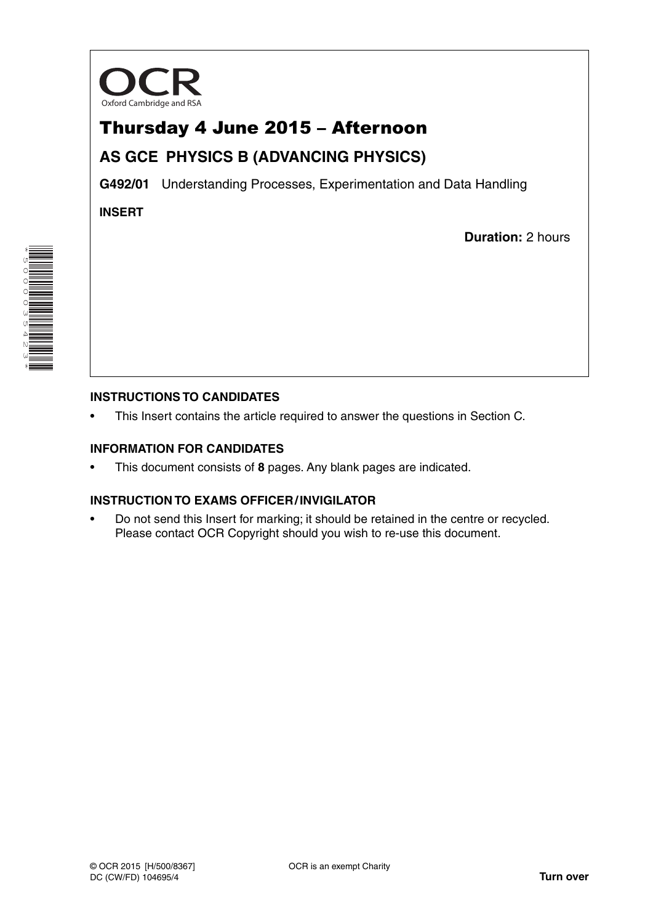

# Thursday 4 June 2015 – Afternoon

## **AS GCE PHYSICS B (ADVANCING PHYSICS)**

**G492/01** Understanding Processes, Experimentation and Data Handling

**INSERT**

**Duration:** 2 hours



## **INSTRUCTIONS TO CANDIDATES**

This Insert contains the article required to answer the questions in Section C.

### **INFORMATION FOR CANDIDATES**

• This document consists of **8** pages. Any blank pages are indicated.

#### **INSTRUCTION TO EXAMS OFFICER / INVIGILATOR**

• Do not send this Insert for marking; it should be retained in the centre or recycled. Please contact OCR Copyright should you wish to re-use this document.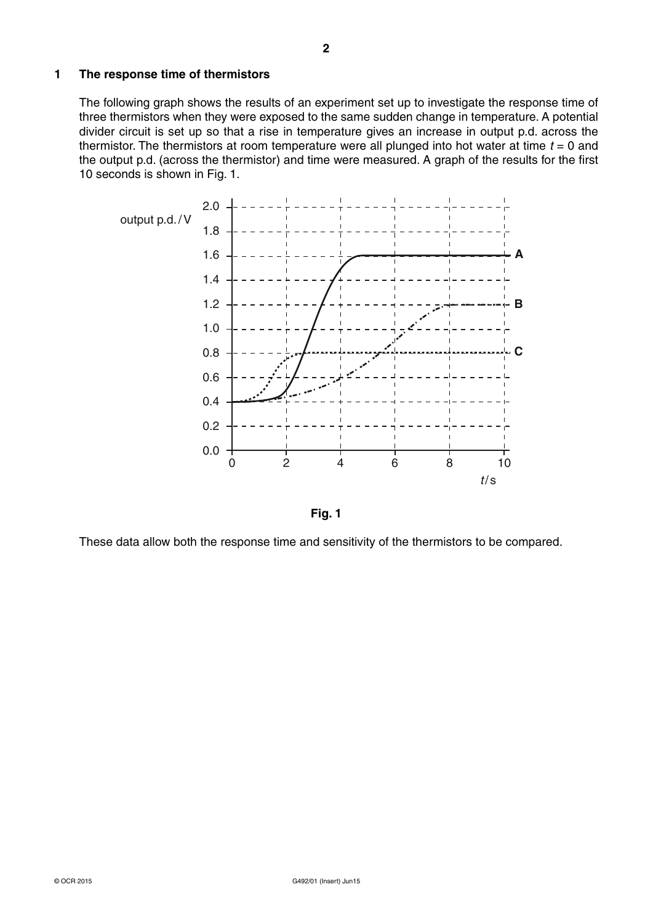#### **1 The response time of thermistors**

The following graph shows the results of an experiment set up to investigate the response time of three thermistors when they were exposed to the same sudden change in temperature. A potential divider circuit is set up so that a rise in temperature gives an increase in output p.d. across the thermistor. The thermistors at room temperature were all plunged into hot water at time *t* = 0 and the output p.d. (across the thermistor) and time were measured. A graph of the results for the first 10 seconds is shown in Fig. 1.



**Fig. 1**

These data allow both the response time and sensitivity of the thermistors to be compared.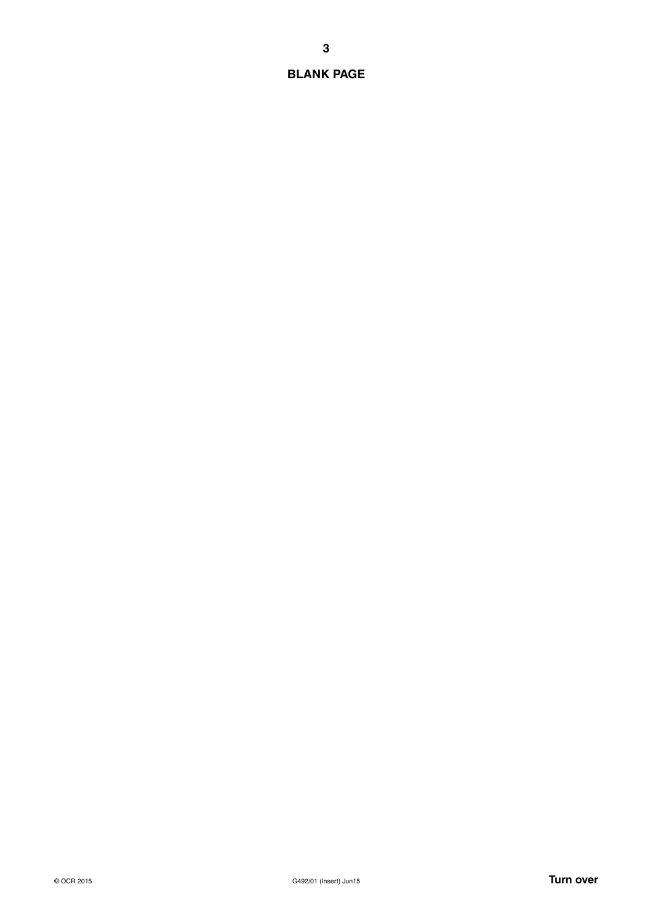## **BLANK PAGE**

**3**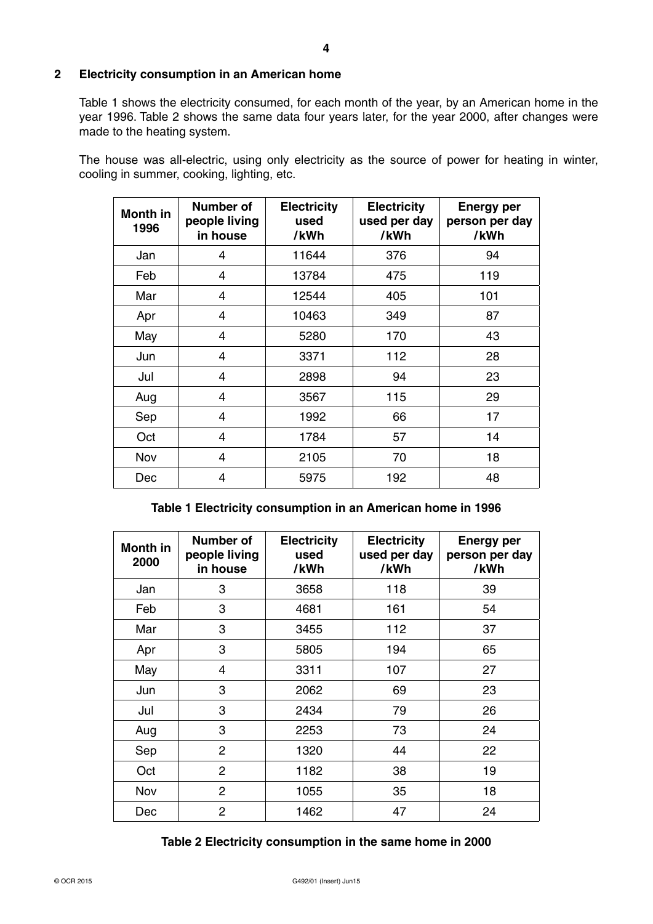#### **2 Electricity consumption in an American home**

Table 1 shows the electricity consumed, for each month of the year, by an American home in the year 1996. Table 2 shows the same data four years later, for the year 2000, after changes were made to the heating system.

The house was all-electric, using only electricity as the source of power for heating in winter, cooling in summer, cooking, lighting, etc.

| Month in<br>1996 | Number of<br>people living<br>in house | <b>Electricity</b><br>used<br>/kWh | <b>Electricity</b><br>used per day<br>/kWh | <b>Energy per</b><br>person per day<br>/kWh |
|------------------|----------------------------------------|------------------------------------|--------------------------------------------|---------------------------------------------|
| Jan              | 4                                      | 11644                              | 376                                        | 94                                          |
| Feb              | $\overline{4}$                         | 13784                              | 475                                        | 119                                         |
| Mar              | 4                                      | 12544                              | 405                                        | 101                                         |
| Apr              | 4                                      | 10463                              | 349                                        | 87                                          |
| May              | 4                                      | 5280                               | 170                                        | 43                                          |
| Jun              | 4                                      | 3371                               | 112                                        | 28                                          |
| Jul              | 4                                      | 2898                               | 94                                         | 23                                          |
| Aug              | $\overline{4}$                         | 3567                               | 115                                        | 29                                          |
| Sep              | 4                                      | 1992                               | 66                                         | 17                                          |
| Oct              | 4                                      | 1784                               | 57                                         | 14                                          |
| Nov              | $\overline{4}$                         | 2105                               | 70                                         | 18                                          |
| Dec              | 4                                      | 5975                               | 192                                        | 48                                          |

#### **Table 1 Electricity consumption in an American home in 1996**

| Month in<br>2000 | <b>Number of</b><br>people living<br>in house | <b>Electricity</b><br>used<br>/kWh | <b>Electricity</b><br>used per day<br>/kWh | <b>Energy per</b><br>person per day<br>/kWh |
|------------------|-----------------------------------------------|------------------------------------|--------------------------------------------|---------------------------------------------|
| Jan              | 3                                             | 3658                               | 118                                        | 39                                          |
| Feb              | 3                                             | 4681                               | 161                                        | 54                                          |
| Mar              | 3                                             | 3455                               | 112                                        | 37                                          |
| Apr              | 3                                             | 5805                               | 194                                        | 65                                          |
| May              | 4                                             | 3311                               | 107                                        | 27                                          |
| Jun              | 3                                             | 2062                               | 69                                         | 23                                          |
| Jul              | 3                                             | 2434                               | 79                                         | 26                                          |
| Aug              | 3                                             | 2253                               | 73                                         | 24                                          |
| Sep              | 2                                             | 1320                               | 44                                         | 22                                          |
| Oct              | $\overline{2}$                                | 1182                               | 38                                         | 19                                          |
| Nov              | $\overline{2}$                                | 1055                               | 35                                         | 18                                          |
| Dec              | 2                                             | 1462                               | 47                                         | 24                                          |

#### **Table 2 Electricity consumption in the same home in 2000**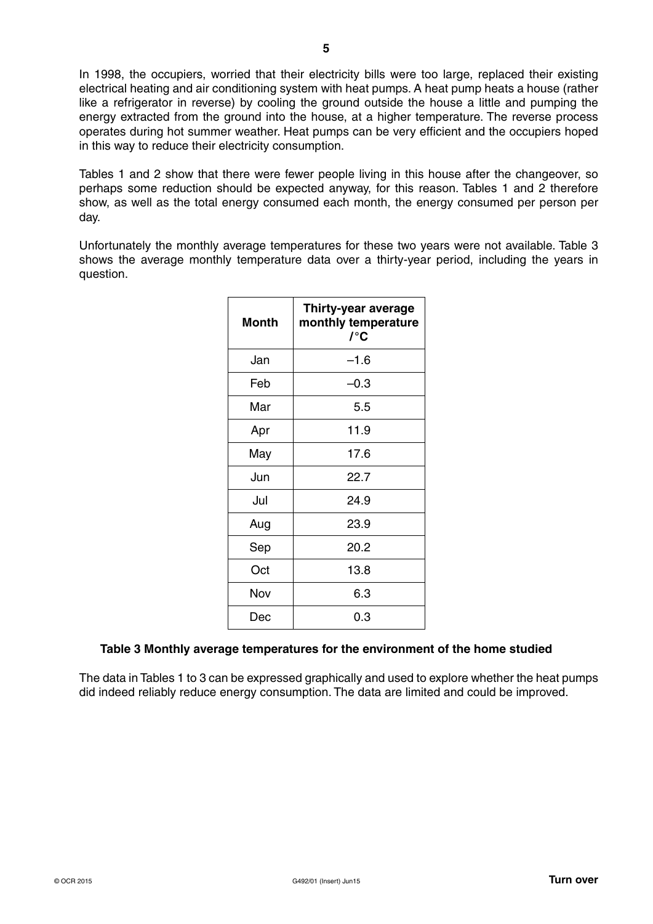In 1998, the occupiers, worried that their electricity bills were too large, replaced their existing electrical heating and air conditioning system with heat pumps. A heat pump heats a house (rather like a refrigerator in reverse) by cooling the ground outside the house a little and pumping the energy extracted from the ground into the house, at a higher temperature. The reverse process operates during hot summer weather. Heat pumps can be very efficient and the occupiers hoped in this way to reduce their electricity consumption.

Tables 1 and 2 show that there were fewer people living in this house after the changeover, so perhaps some reduction should be expected anyway, for this reason. Tables 1 and 2 therefore show, as well as the total energy consumed each month, the energy consumed per person per day.

Unfortunately the monthly average temperatures for these two years were not available. Table 3 shows the average monthly temperature data over a thirty-year period, including the years in question.

| Month | Thirty-year average<br>monthly temperature<br>/°C |  |
|-------|---------------------------------------------------|--|
| Jan   | $-1.6$                                            |  |
| Feb   | $-0.3$                                            |  |
| Mar   | 5.5                                               |  |
| Apr   | 11.9                                              |  |
| May   | 17.6                                              |  |
| Jun   | 22.7                                              |  |
| Jul   | 24.9                                              |  |
| Aug   | 23.9                                              |  |
| Sep   | 20.2                                              |  |
| Oct   | 13.8                                              |  |
| Nov   | 6.3                                               |  |
| Dec   | 0.3                                               |  |

#### **Table 3 Monthly average temperatures for the environment of the home studied**

The data in Tables 1 to 3 can be expressed graphically and used to explore whether the heat pumps did indeed reliably reduce energy consumption. The data are limited and could be improved.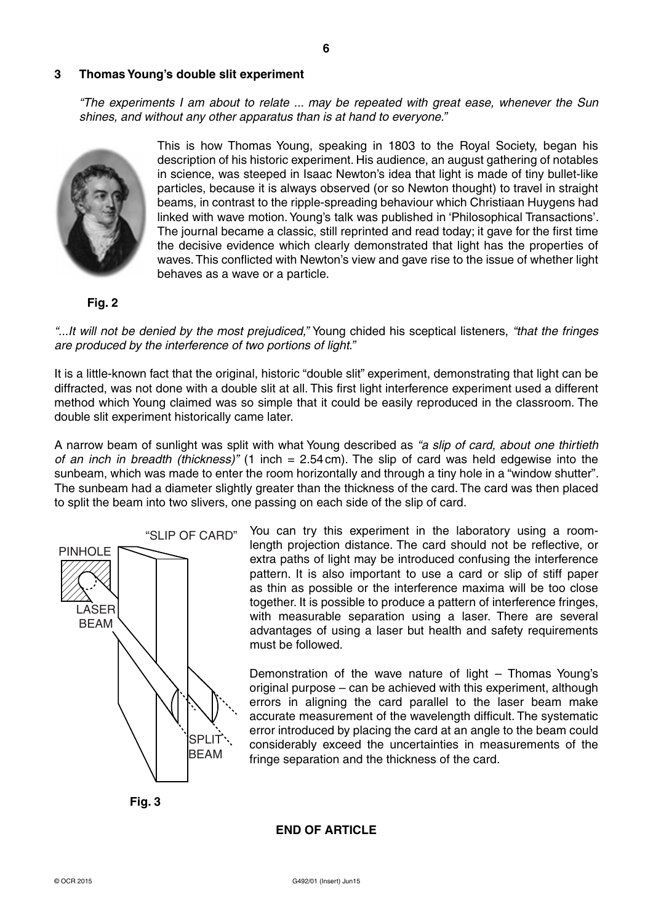#### **3 Thomas Young's double slit experiment**

 *"The experiments I am about to relate ... may be repeated with great ease, whenever the Sun shines, and without any other apparatus than is at hand to everyone."*



 This is how Thomas Young, speaking in 1803 to the Royal Society, began his description of his historic experiment. His audience, an august gathering of notables in science, was steeped in Isaac Newton's idea that light is made of tiny bullet-like particles, because it is always observed (or so Newton thought) to travel in straight beams, in contrast to the ripple-spreading behaviour which Christiaan Huygens had linked with wave motion. Young's talk was published in 'Philosophical Transactions'. The journal became a classic, still reprinted and read today; it gave for the first time the decisive evidence which clearly demonstrated that light has the properties of waves. This conflicted with Newton's view and gave rise to the issue of whether light behaves as a wave or a particle.

**Fig. 2**

*"...It will not be denied by the most prejudiced,"* Young chided his sceptical listeners, *"that the fringes are produced by the interference of two portions of light."*

It is a little-known fact that the original, historic "double slit" experiment, demonstrating that light can be diffracted, was not done with a double slit at all. This first light interference experiment used a different method which Young claimed was so simple that it could be easily reproduced in the classroom. The double slit experiment historically came later.

A narrow beam of sunlight was split with what Young described as *"a slip of card, about one thirtieth of an inch in breadth (thickness)"* (1 inch = 2.54 cm). The slip of card was held edgewise into the sunbeam, which was made to enter the room horizontally and through a tiny hole in a "window shutter". The sunbeam had a diameter slightly greater than the thickness of the card. The card was then placed to split the beam into two slivers, one passing on each side of the slip of card.



 You can try this experiment in the laboratory using a roomlength projection distance. The card should not be reflective, or extra paths of light may be introduced confusing the interference pattern. It is also important to use a card or slip of stiff paper as thin as possible or the interference maxima will be too close together. It is possible to produce a pattern of interference fringes, with measurable separation using a laser. There are several advantages of using a laser but health and safety requirements must be followed.

 Demonstration of the wave nature of light – Thomas Young's original purpose – can be achieved with this experiment, although errors in aligning the card parallel to the laser beam make accurate measurement of the wavelength difficult. The systematic error introduced by placing the card at an angle to the beam could considerably exceed the uncertainties in measurements of the fringe separation and the thickness of the card.

**Fig. 3**

#### **END OF ARTICLE**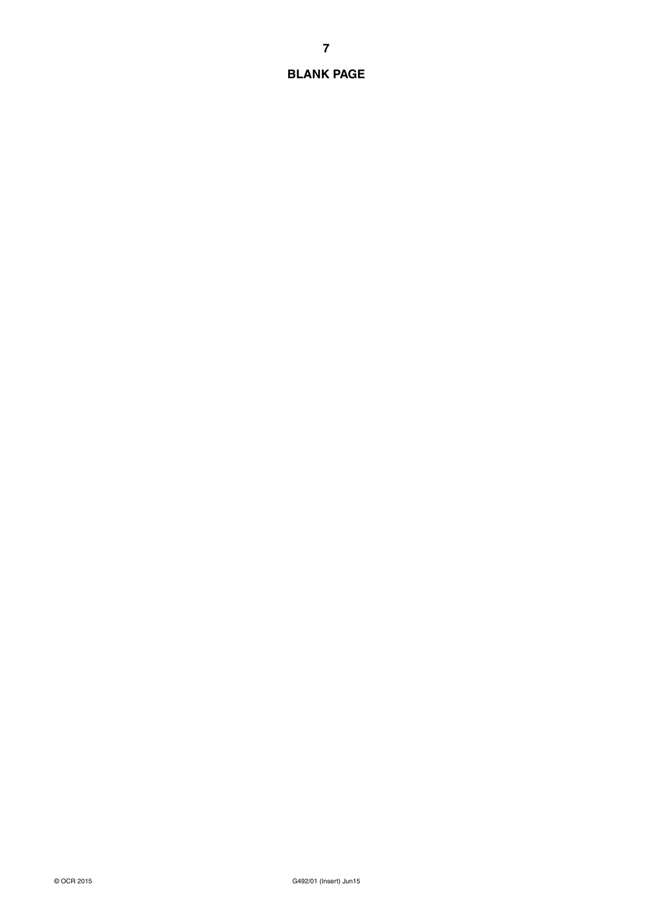### **BLANK PAGE**